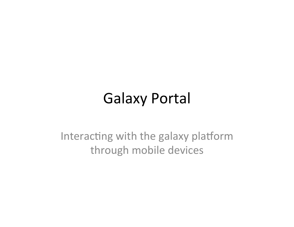#### Galaxy Portal

Interacting with the galaxy platform through mobile devices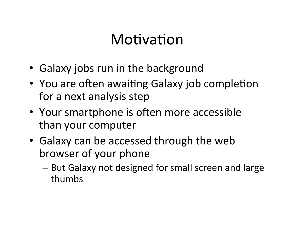## Motivation

- Galaxy jobs run in the background
- You are often awaiting Galaxy job completion for a next analysis step
- Your smartphone is often more accessible than your computer
- Galaxy can be accessed through the web browser of your phone
	- But Galaxy not designed for small screen and large thumbs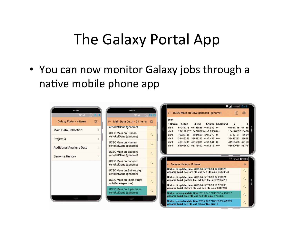## The Galaxy Portal App

• You can now monitor Galaxy jobs through a native mobile phone app

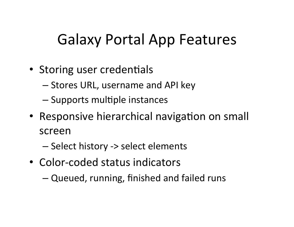## Galaxy Portal App Features

- Storing user credentials
	- Stores URL, username and API key
	- Supports multiple instances
- Responsive hierarchical navigation on small screen
	- Select history -> select elements
- Color-coded status indicators
	- Queued, running, finished and failed runs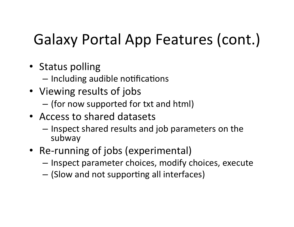# Galaxy Portal App Features (cont.)

- Status polling
	- Including audible notifications
- Viewing results of jobs
	- (for now supported for txt and html)
- Access to shared datasets
	- $-$  Inspect shared results and job parameters on the subway
- Re-running of jobs (experimental)
	- $-$  Inspect parameter choices, modify choices, execute
	- $-$  (Slow and not supporting all interfaces)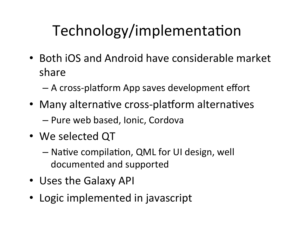# Technology/implementation

- Both iOS and Android have considerable market share
	- A cross-platform App saves development effort
- Many alternative cross-platform alternatives  $-$  Pure web based, Ionic, Cordova
- We selected QT
	- Native compilation, QML for UI design, well documented and supported
- Uses the Galaxy API
- Logic implemented in javascript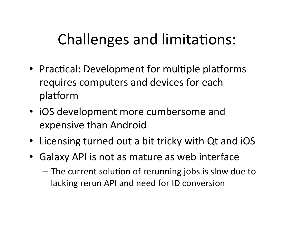## Challenges and limitations:

- Practical: Development for multiple platforms requires computers and devices for each platform
- iOS development more cumbersome and expensive than Android
- Licensing turned out a bit tricky with Qt and iOS
- Galaxy API is not as mature as web interface
	- The current solution of rerunning jobs is slow due to lacking rerun API and need for ID conversion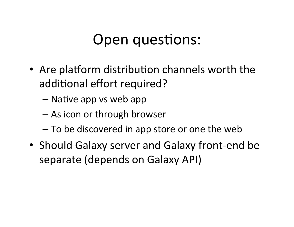## Open questions:

- Are platform distribution channels worth the additional effort required?
	- $-$  Native app vs web app
	- As icon or through browser
	- To be discovered in app store or one the web
- Should Galaxy server and Galaxy front-end be separate (depends on Galaxy API)